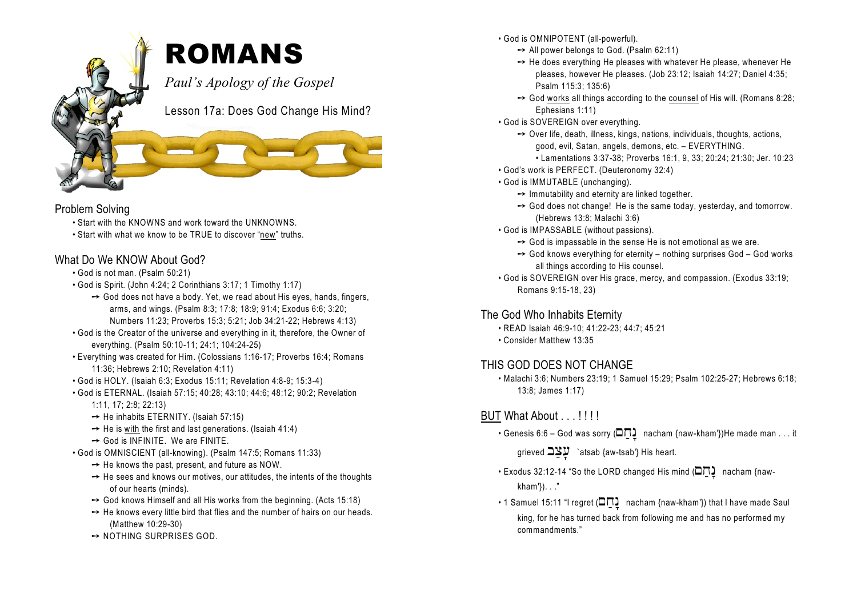

## Problem Solving

- Start with the KNOWNS and work toward the UNKNOWNS.
- Start with what we know to be TRUE to discover "new" truths.

## What Do We KNOW About God?

- God is not man. (Psalm 50:21)
- God is Spirit. (John 4:24; 2 Corinthians 3:17; 1 Timothy 1:17)
	- $\rightarrow$  God does not have a body. Yet, we read about His eyes, hands, fingers, arms, and wings. (Psalm 8:3; 17:8; 18:9; 91:4; Exodus 6:6; 3:20; Numbers 11:23; Proverbs 15:3; 5:21; Job 34:21-22; Hebrews 4:13)
- God is the Creator of the universe and everything in it, therefore, the Owner of everything. (Psalm 50:10-11; 24:1; 104:24-25)
- Everything was created for Him. (Colossians 1:16-17; Proverbs 16:4; Romans 11:36; Hebrews 2:10; Revelation 4:11)
- God is HOLY. (Isaiah 6:3; Exodus 15:11; Revelation 4:8-9; 15:3-4)
- God is ETERNAL. (Isaiah 57:15; 40:28; 43:10; 44:6; 48:12; 90:2; Revelation
	- 1:11, 17; 2:8; 22:13)
	- $\rightarrow$  He inhabits ETERNITY. (Isaiah 57:15)
	- $\rightarrow$  He is with the first and last generations. (Isaiah 41:4)
	- $\rightarrow$  God is INFINITE. We are FINITE.
- God is OMNISCIENT (all-knowing). (Psalm 147:5; Romans 11:33)
	- $\rightarrow$  He knows the past, present, and future as NOW.
	- $\rightarrow$  He sees and knows our motives, our attitudes, the intents of the thoughts of our hearts (minds).
	- $\rightarrow$  God knows Himself and all His works from the beginning. (Acts 15:18)
	- $\rightarrow$  He knows every little bird that flies and the number of hairs on our heads. (Matthew 10:29-30)
	- $\rightarrow$  NOTHING SURPRISES GOD.
- God is OMNIPOTENT (all-powerful).
	- $\rightarrow$  All power belongs to God. (Psalm 62:11)
	- $\rightarrow$  He does everything He pleases with whatever He please, whenever He pleases, however He pleases. (Job 23:12; Isaiah 14:27; Daniel 4:35; Psalm 115:3; 135:6)
	- $\rightarrow$  God works all things according to the counsel of His will. (Romans 8:28; Ephesians 1:11)
- God is SOVEREIGN over everything.
	- $\rightarrow$  Over life, death, illness, kings, nations, individuals, thoughts, actions, good, evil, Satan, angels, demons, etc. – EVERYTHING.
		- Lamentations 3:37-38; Proverbs 16:1, 9, 33; 20:24; 21:30; Jer. 10:23
- God's work is PERFECT. (Deuteronomy 32:4)
- God is IMMUTABLE (unchanging).
	- $\rightarrow$  Immutability and eternity are linked together.
	- $\rightarrow$  God does not change! He is the same today, yesterday, and tomorrow. (Hebrews 13:8; Malachi 3:6)
- God is IMPASSABLE (without passions).
	- $\rightarrow$  God is impassable in the sense He is not emotional as we are.
	- $\rightarrow$  God knows everything for eternity nothing surprises God God works all things according to His counsel.
- God is SOVEREIGN over His grace, mercy, and compassion. (Exodus 33:19; Romans 9:15-18, 23)

## The God Who Inhabits Eternity

- READ Isaiah 46:9-10; 41:22-23; 44:7; 45:21
- Consider Matthew 13:35

# THIS GOD DOES NOT CHANGE

• Malachi 3:6; Numbers 23:19; 1 Samuel 15:29; Psalm 102:25-27; Hebrews 6:18; 13:8; James 1:17)

- BUT What About . . . !!!!!
	- Genesis 6:6 God was sorry ( $\square$  $\square$ ) nacham {naw-kham'})He made man . . . it

grieved  $\exists \mathcal{Y}$  `atsab {aw-tsab'} His heart.

- Exodus 32:12-14 "So the LORD changed His mind  $(\square \square )$  nacham {nawkham'}). . ."
- 1 Samuel 15:11 "I regret ( $\square \square$ ) nacham {naw-kham'}) that I have made Saul king, for he has turned back from following me and has no performed my commandments."